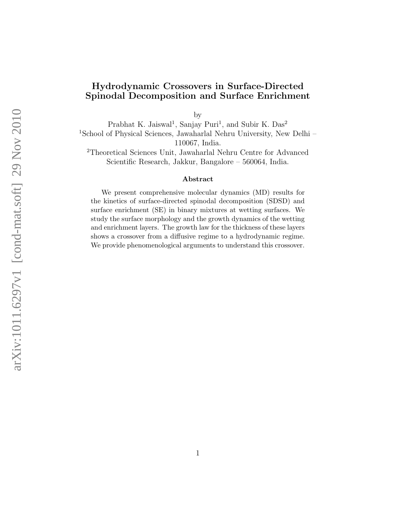## Hydrodynamic Crossovers in Surface-Directed Spinodal Decomposition and Surface Enrichment

by

Prabhat K. Jaiswal<sup>1</sup>, Sanjay Puri<sup>1</sup>, and Subir K. Das<sup>2</sup> <sup>1</sup>School of Physical Sciences, Jawaharlal Nehru University, New Delhi – 110067, India.

<sup>2</sup>Theoretical Sciences Unit, Jawaharlal Nehru Centre for Advanced Scientific Research, Jakkur, Bangalore – 560064, India.

## Abstract

We present comprehensive molecular dynamics (MD) results for the kinetics of surface-directed spinodal decomposition (SDSD) and surface enrichment (SE) in binary mixtures at wetting surfaces. We study the surface morphology and the growth dynamics of the wetting and enrichment layers. The growth law for the thickness of these layers shows a crossover from a diffusive regime to a hydrodynamic regime. We provide phenomenological arguments to understand this crossover.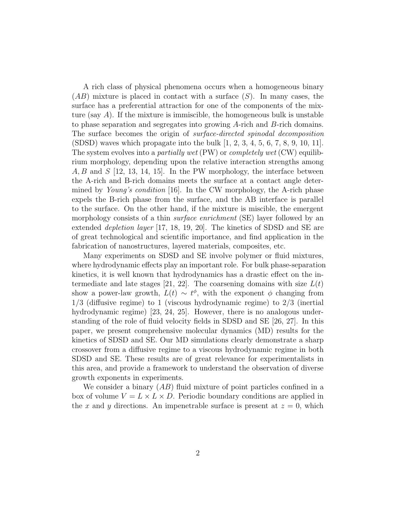A rich class of physical phenomena occurs when a homogeneous binary  $(AB)$  mixture is placed in contact with a surface  $(S)$ . In many cases, the surface has a preferential attraction for one of the components of the mixture (say  $A$ ). If the mixture is immiscible, the homogeneous bulk is unstable to phase separation and segregates into growing A-rich and B-rich domains. The surface becomes the origin of surface-directed spinodal decomposition  $(SDSD)$  waves which propagate into the bulk  $[1, 2, 3, 4, 5, 6, 7, 8, 9, 10, 11]$ . The system evolves into a *partially wet* (PW) or *completely wet* (CW) equilibrium morphology, depending upon the relative interaction strengths among  $A, B$  and  $S$  [12, 13, 14, 15]. In the PW morphology, the interface between the A-rich and B-rich domains meets the surface at a contact angle determined by Young's condition [16]. In the CW morphology, the A-rich phase expels the B-rich phase from the surface, and the AB interface is parallel to the surface. On the other hand, if the mixture is miscible, the emergent morphology consists of a thin *surface enrichment* (SE) layer followed by an extended depletion layer [17, 18, 19, 20]. The kinetics of SDSD and SE are of great technological and scientific importance, and find application in the fabrication of nanostructures, layered materials, composites, etc.

Many experiments on SDSD and SE involve polymer or fluid mixtures, where hydrodynamic effects play an important role. For bulk phase-separation kinetics, it is well known that hydrodynamics has a drastic effect on the intermediate and late stages [21, 22]. The coarsening domains with size  $L(t)$ show a power-law growth,  $L(t) \sim t^{\phi}$ , with the exponent  $\phi$  changing from 1/3 (diffusive regime) to 1 (viscous hydrodynamic regime) to 2/3 (inertial hydrodynamic regime) [23, 24, 25]. However, there is no analogous understanding of the role of fluid velocity fields in SDSD and SE [26, 27]. In this paper, we present comprehensive molecular dynamics (MD) results for the kinetics of SDSD and SE. Our MD simulations clearly demonstrate a sharp crossover from a diffusive regime to a viscous hydrodynamic regime in both SDSD and SE. These results are of great relevance for experimentalists in this area, and provide a framework to understand the observation of diverse growth exponents in experiments.

We consider a binary  $(AB)$  fluid mixture of point particles confined in a box of volume  $V = L \times L \times D$ . Periodic boundary conditions are applied in the x and y directions. An impenetrable surface is present at  $z = 0$ , which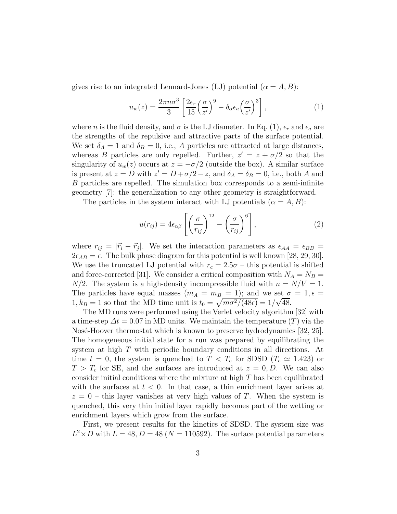gives rise to an integrated Lennard-Jones (LJ) potential  $(\alpha = A, B)$ :

$$
u_w(z) = \frac{2\pi n \sigma^3}{3} \left[ \frac{2\epsilon_r}{15} \left( \frac{\sigma}{z'} \right)^9 - \delta_\alpha \epsilon_a \left( \frac{\sigma}{z'} \right)^3 \right],\tag{1}
$$

where n is the fluid density, and  $\sigma$  is the LJ diameter. In Eq. (1),  $\epsilon_r$  and  $\epsilon_a$  are the strengths of the repulsive and attractive parts of the surface potential. We set  $\delta_A = 1$  and  $\delta_B = 0$ , i.e., A particles are attracted at large distances, whereas B particles are only repelled. Further,  $z' = z + \sigma/2$  so that the singularity of  $u_w(z)$  occurs at  $z = -\sigma/2$  (outside the box). A similar surface is present at  $z = D$  with  $z' = D + \sigma/2 - z$ , and  $\delta_A = \delta_B = 0$ , i.e., both A and B particles are repelled. The simulation box corresponds to a semi-infinite geometry [7]: the generalization to any other geometry is straightforward.

The particles in the system interact with LJ potentials  $(\alpha = A, B)$ :

$$
u(r_{ij}) = 4\epsilon_{\alpha\beta} \left[ \left(\frac{\sigma}{r_{ij}}\right)^{12} - \left(\frac{\sigma}{r_{ij}}\right)^{6} \right],
$$
 (2)

where  $r_{ij} = |\vec{r}_i - \vec{r}_j|$ . We set the interaction parameters as  $\epsilon_{AA} = \epsilon_{BB}$  $2\epsilon_{AB} = \epsilon$ . The bulk phase diagram for this potential is well known [28, 29, 30]. We use the truncated LJ potential with  $r_c = 2.5\sigma$  – this potential is shifted and force-corrected [31]. We consider a critical composition with  $N_A = N_B$  =  $N/2$ . The system is a high-density incompressible fluid with  $n = N/V = 1$ . The particles have equal masses  $(m_A = m_B = 1)$ ; and we set  $\sigma = 1, \epsilon =$ 1,  $k_B = 1$  so that the MD time unit is  $t_0 = \sqrt{m\sigma^2/(48\epsilon)} = 1/\sqrt{48}$ .

The MD runs were performed using the Verlet velocity algorithm [32] with a time-step  $\Delta t = 0.07$  in MD units. We maintain the temperature  $(T)$  via the Nosé-Hoover thermostat which is known to preserve hydrodynamics [32, 25]. The homogeneous initial state for a run was prepared by equilibrating the system at high T with periodic boundary conditions in all directions. At time  $t = 0$ , the system is quenched to  $T < T_c$  for SDSD  $(T_c \simeq 1.423)$  or  $T > T_c$  for SE, and the surfaces are introduced at  $z = 0, D$ . We can also consider initial conditions where the mixture at high T has been equilibrated with the surfaces at  $t < 0$ . In that case, a thin enrichment layer arises at  $z = 0$  – this layer vanishes at very high values of T. When the system is quenched, this very thin initial layer rapidly becomes part of the wetting or enrichment layers which grow from the surface.

First, we present results for the kinetics of SDSD. The system size was  $L^2 \times D$  with  $L = 48, D = 48 (N = 110592)$ . The surface potential parameters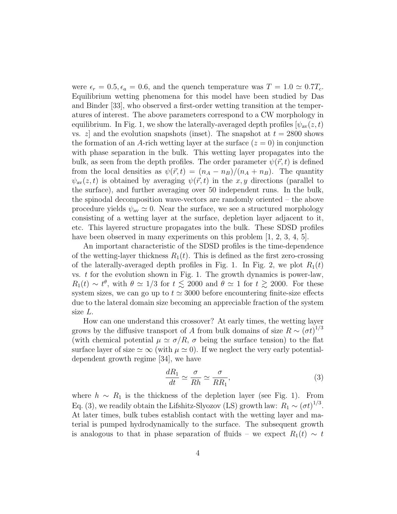were  $\epsilon_r = 0.5, \epsilon_a = 0.6$ , and the quench temperature was  $T = 1.0 \simeq 0.7T_c$ . Equilibrium wetting phenomena for this model have been studied by Das and Binder [33], who observed a first-order wetting transition at the temperatures of interest. The above parameters correspond to a CW morphology in equilibrium. In Fig. 1, we show the laterally-averaged depth profiles  $[\psi_{av}(z, t)]$ vs. z and the evolution snapshots (inset). The snapshot at  $t = 2800$  shows the formation of an A-rich wetting layer at the surface  $(z = 0)$  in conjunction with phase separation in the bulk. This wetting layer propagates into the bulk, as seen from the depth profiles. The order parameter  $\psi(\vec{r},t)$  is defined from the local densities as  $\psi(\vec{r}, t) = (n_A - n_B)/(n_A + n_B)$ . The quantity  $\psi_{av}(z, t)$  is obtained by averaging  $\psi(\vec{r}, t)$  in the x, y directions (parallel to the surface), and further averaging over 50 independent runs. In the bulk, the spinodal decomposition wave-vectors are randomly oriented – the above procedure yields  $\psi_{av} \simeq 0$ . Near the surface, we see a structured morphology consisting of a wetting layer at the surface, depletion layer adjacent to it, etc. This layered structure propagates into the bulk. These SDSD profiles have been observed in many experiments on this problem [1, 2, 3, 4, 5].

An important characteristic of the SDSD profiles is the time-dependence of the wetting-layer thickness  $R_1(t)$ . This is defined as the first zero-crossing of the laterally-averaged depth profiles in Fig. 1. In Fig. 2, we plot  $R_1(t)$ vs.  $t$  for the evolution shown in Fig. 1. The growth dynamics is power-law,  $R_1(t) \sim t^{\theta}$ , with  $\theta \simeq 1/3$  for  $t \lesssim 2000$  and  $\theta \simeq 1$  for  $t \gtrsim 2000$ . For these system sizes, we can go up to  $t \approx 3000$  before encountering finite-size effects due to the lateral domain size becoming an appreciable fraction of the system size L.

How can one understand this crossover? At early times, the wetting layer grows by the diffusive transport of A from bulk domains of size  $R \sim (\sigma t)^{1/3}$ (with chemical potential  $\mu \simeq \sigma/R$ ,  $\sigma$  being the surface tension) to the flat surface layer of size  $\approx \infty$  (with  $\mu \approx 0$ ). If we neglect the very early potentialdependent growth regime [34], we have

$$
\frac{dR_1}{dt} \simeq \frac{\sigma}{Rh} \simeq \frac{\sigma}{RR_1},\tag{3}
$$

where  $h \sim R_1$  is the thickness of the depletion layer (see Fig. 1). From Eq. (3), we readily obtain the Lifshitz-Slyozov (LS) growth law:  $R_1 \sim (\sigma t)^{1/3}$ . At later times, bulk tubes establish contact with the wetting layer and material is pumped hydrodynamically to the surface. The subsequent growth is analogous to that in phase separation of fluids – we expect  $R_1(t) \sim t$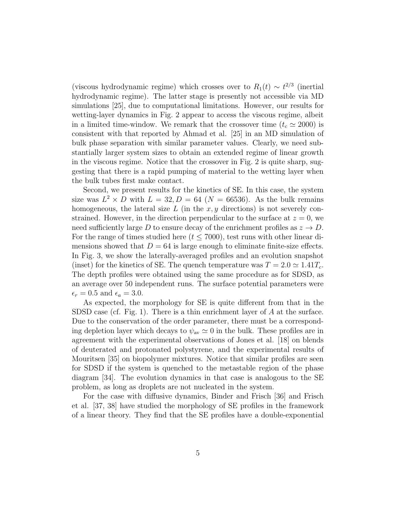(viscous hydrodynamic regime) which crosses over to  $R_1(t) \sim t^{2/3}$  (inertial hydrodynamic regime). The latter stage is presently not accessible via MD simulations [25], due to computational limitations. However, our results for wetting-layer dynamics in Fig. 2 appear to access the viscous regime, albeit in a limited time-window. We remark that the crossover time  $(t_c \approx 2000)$  is consistent with that reported by Ahmad et al. [25] in an MD simulation of bulk phase separation with similar parameter values. Clearly, we need substantially larger system sizes to obtain an extended regime of linear growth in the viscous regime. Notice that the crossover in Fig. 2 is quite sharp, suggesting that there is a rapid pumping of material to the wetting layer when the bulk tubes first make contact.

Second, we present results for the kinetics of SE. In this case, the system size was  $L^2 \times D$  with  $L = 32, D = 64$  ( $N = 66536$ ). As the bulk remains homogeneous, the lateral size L (in the  $x, y$  directions) is not severely constrained. However, in the direction perpendicular to the surface at  $z = 0$ , we need sufficiently large D to ensure decay of the enrichment profiles as  $z \to D$ . For the range of times studied here  $(t \leq 7000)$ , test runs with other linear dimensions showed that  $D = 64$  is large enough to eliminate finite-size effects. In Fig. 3, we show the laterally-averaged profiles and an evolution snapshot (inset) for the kinetics of SE. The quench temperature was  $T = 2.0 \approx 1.41 T_c$ . The depth profiles were obtained using the same procedure as for SDSD, as an average over 50 independent runs. The surface potential parameters were  $\epsilon_r = 0.5$  and  $\epsilon_a = 3.0$ .

As expected, the morphology for SE is quite different from that in the SDSD case (cf. Fig. 1). There is a thin enrichment layer of A at the surface. Due to the conservation of the order parameter, there must be a corresponding depletion layer which decays to  $\psi_{av} \simeq 0$  in the bulk. These profiles are in agreement with the experimental observations of Jones et al. [18] on blends of deuterated and protonated polystyrene, and the experimental results of Mouritsen [35] on biopolymer mixtures. Notice that similar profiles are seen for SDSD if the system is quenched to the metastable region of the phase diagram [34]. The evolution dynamics in that case is analogous to the SE problem, as long as droplets are not nucleated in the system.

For the case with diffusive dynamics, Binder and Frisch [36] and Frisch et al. [37, 38] have studied the morphology of SE profiles in the framework of a linear theory. They find that the SE profiles have a double-exponential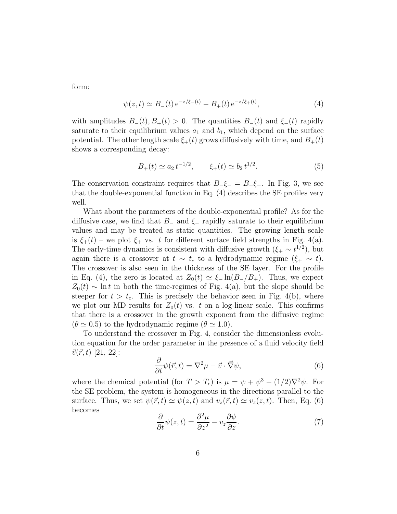form:

$$
\psi(z,t) \simeq B_-(t) e^{-z/\xi_-(t)} - B_+(t) e^{-z/\xi_+(t)},\tag{4}
$$

with amplitudes  $B_-(t), B_+(t) > 0$ . The quantities  $B_-(t)$  and  $\xi_-(t)$  rapidly saturate to their equilibrium values  $a_1$  and  $b_1$ , which depend on the surface potential. The other length scale  $\xi_{+}(t)$  grows diffusively with time, and  $B_{+}(t)$ shows a corresponding decay:

$$
B_+(t) \simeq a_2 t^{-1/2}, \qquad \xi_+(t) \simeq b_2 t^{1/2}.
$$
 (5)

The conservation constraint requires that  $B_-\xi_- = B_+\xi_+$ . In Fig. 3, we see that the double-exponential function in Eq. (4) describes the SE profiles very well.

What about the parameters of the double-exponential profile? As for the diffusive case, we find that  $B_-\$  and  $\xi_-\$  rapidly saturate to their equilibrium values and may be treated as static quantities. The growing length scale is  $\xi_{+}(t)$  – we plot  $\xi_{+}$  vs. t for different surface field strengths in Fig. 4(a). The early-time dynamics is consistent with diffusive growth  $(\xi_+ \sim t^{1/2})$ , but again there is a crossover at  $t \sim t_c$  to a hydrodynamic regime  $(\xi_+ \sim t)$ . The crossover is also seen in the thickness of the SE layer. For the profile in Eq. (4), the zero is located at  $Z_0(t) \simeq \xi_- \ln(B_-/B_+)$ . Thus, we expect  $Z_0(t) \sim \ln t$  in both the time-regimes of Fig. 4(a), but the slope should be steeper for  $t > t_c$ . This is precisely the behavior seen in Fig. 4(b), where we plot our MD results for  $Z_0(t)$  vs. t on a log-linear scale. This confirms that there is a crossover in the growth exponent from the diffusive regime  $(\theta \simeq 0.5)$  to the hydrodynamic regime  $(\theta \simeq 1.0)$ .

To understand the crossover in Fig. 4, consider the dimensionless evolution equation for the order parameter in the presence of a fluid velocity field  $\vec{v}(\vec{r}, t)$  [21, 22]:

$$
\frac{\partial}{\partial t}\psi(\vec{r},t) = \nabla^2 \mu - \vec{v} \cdot \vec{\nabla}\psi,\tag{6}
$$

where the chemical potential (for  $T > T_c$ ) is  $\mu = \psi + \psi^3 - (1/2)\nabla^2 \psi$ . For the SE problem, the system is homogeneous in the directions parallel to the surface. Thus, we set  $\psi(\vec{r}, t) \simeq \psi(z, t)$  and  $v_z(\vec{r}, t) \simeq v_z(z, t)$ . Then, Eq. (6) becomes

$$
\frac{\partial}{\partial t}\psi(z,t) = \frac{\partial^2 \mu}{\partial z^2} - v_z \frac{\partial \psi}{\partial z}.
$$
\n(7)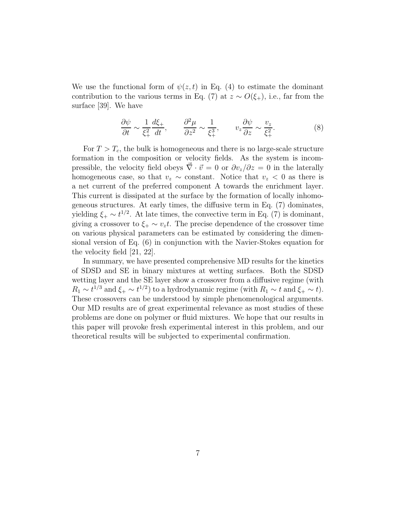We use the functional form of  $\psi(z,t)$  in Eq. (4) to estimate the dominant contribution to the various terms in Eq. (7) at  $z \sim O(\xi_+)$ , i.e., far from the surface [39]. We have

$$
\frac{\partial \psi}{\partial t} \sim \frac{1}{\xi_+^2} \frac{d\xi_+}{dt}, \qquad \frac{\partial^2 \mu}{\partial z^2} \sim \frac{1}{\xi_+^3}, \qquad v_z \frac{\partial \psi}{\partial z} \sim \frac{v_z}{\xi_+^2}.\tag{8}
$$

For  $T > T_c$ , the bulk is homogeneous and there is no large-scale structure formation in the composition or velocity fields. As the system is incompressible, the velocity field obeys  $\vec{\nabla} \cdot \vec{v} = 0$  or  $\partial v_z/\partial z = 0$  in the laterally homogeneous case, so that  $v_z \sim$  constant. Notice that  $v_z < 0$  as there is a net current of the preferred component A towards the enrichment layer. This current is dissipated at the surface by the formation of locally inhomogeneous structures. At early times, the diffusive term in Eq. (7) dominates, yielding  $\xi_+ \sim t^{1/2}$ . At late times, the convective term in Eq. (7) is dominant, giving a crossover to  $\xi_+ \sim v_z t$ . The precise dependence of the crossover time on various physical parameters can be estimated by considering the dimensional version of Eq. (6) in conjunction with the Navier-Stokes equation for the velocity field [21, 22].

In summary, we have presented comprehensive MD results for the kinetics of SDSD and SE in binary mixtures at wetting surfaces. Both the SDSD wetting layer and the SE layer show a crossover from a diffusive regime (with  $R_1 \sim t^{1/3}$  and  $\xi_+ \sim t^{1/2}$ ) to a hydrodynamic regime (with  $R_1 \sim t$  and  $\xi_+ \sim t$ ). These crossovers can be understood by simple phenomenological arguments. Our MD results are of great experimental relevance as most studies of these problems are done on polymer or fluid mixtures. We hope that our results in this paper will provoke fresh experimental interest in this problem, and our theoretical results will be subjected to experimental confirmation.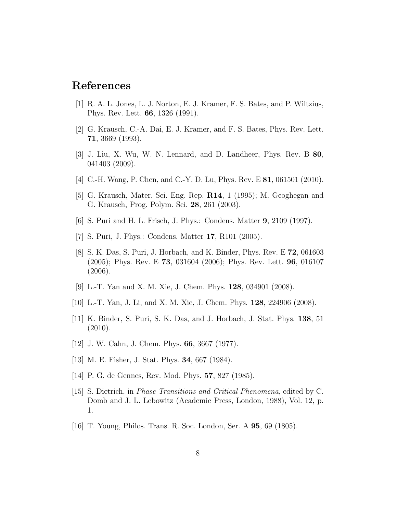## References

- [1] R. A. L. Jones, L. J. Norton, E. J. Kramer, F. S. Bates, and P. Wiltzius, Phys. Rev. Lett. 66, 1326 (1991).
- [2] G. Krausch, C.-A. Dai, E. J. Kramer, and F. S. Bates, Phys. Rev. Lett. 71, 3669 (1993).
- [3] J. Liu, X. Wu, W. N. Lennard, and D. Landheer, Phys. Rev. B 80, 041403 (2009).
- [4] C.-H. Wang, P. Chen, and C.-Y. D. Lu, Phys. Rev. E **81**, 061501 (2010).
- [5] G. Krausch, Mater. Sci. Eng. Rep. R14, 1 (1995); M. Geoghegan and G. Krausch, Prog. Polym. Sci. 28, 261 (2003).
- [6] S. Puri and H. L. Frisch, J. Phys.: Condens. Matter 9, 2109 (1997).
- [7] S. Puri, J. Phys.: Condens. Matter 17, R101 (2005).
- [8] S. K. Das, S. Puri, J. Horbach, and K. Binder, Phys. Rev. E 72, 061603 (2005); Phys. Rev. E 73, 031604 (2006); Phys. Rev. Lett. 96, 016107  $(2006).$
- [9] L.-T. Yan and X. M. Xie, J. Chem. Phys. 128, 034901 (2008).
- [10] L.-T. Yan, J. Li, and X. M. Xie, J. Chem. Phys. 128, 224906 (2008).
- [11] K. Binder, S. Puri, S. K. Das, and J. Horbach, J. Stat. Phys. 138, 51 (2010).
- [12] J. W. Cahn, J. Chem. Phys. 66, 3667 (1977).
- [13] M. E. Fisher, J. Stat. Phys. 34, 667 (1984).
- [14] P. G. de Gennes, Rev. Mod. Phys. 57, 827 (1985).
- [15] S. Dietrich, in Phase Transitions and Critical Phenomena, edited by C. Domb and J. L. Lebowitz (Academic Press, London, 1988), Vol. 12, p. 1.
- [16] T. Young, Philos. Trans. R. Soc. London, Ser. A 95, 69 (1805).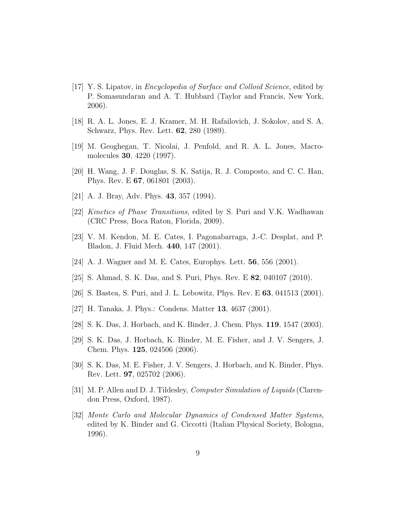- [17] Y. S. Lipatov, in Encyclopedia of Surface and Colloid Science, edited by P. Somasundaran and A. T. Hubbard (Taylor and Francis, New York, 2006).
- [18] R. A. L. Jones, E. J. Kramer, M. H. Rafailovich, J. Sokolov, and S. A. Schwarz, Phys. Rev. Lett. 62, 280 (1989).
- [19] M. Geoghegan, T. Nicolai, J. Penfold, and R. A. L. Jones, Macromolecules 30, 4220 (1997).
- [20] H. Wang, J. F. Douglas, S. K. Satija, R. J. Composto, and C. C. Han, Phys. Rev. E 67, 061801 (2003).
- [21] A. J. Bray, Adv. Phys. **43**, 357 (1994).
- [22] Kinetics of Phase Transitions, edited by S. Puri and V.K. Wadhawan (CRC Press, Boca Raton, Florida, 2009).
- [23] V. M. Kendon, M. E. Cates, I. Pagonabarraga, J.-C. Desplat, and P. Bladon, J. Fluid Mech. 440, 147 (2001).
- [24] A. J. Wagner and M. E. Cates, Europhys. Lett. 56, 556 (2001).
- [25] S. Ahmad, S. K. Das, and S. Puri, Phys. Rev. E 82, 040107 (2010).
- [26] S. Bastea, S. Puri, and J. L. Lebowitz, Phys. Rev. E 63, 041513 (2001).
- [27] H. Tanaka, J. Phys.: Condens. Matter 13, 4637 (2001).
- [28] S. K. Das, J. Horbach, and K. Binder, J. Chem. Phys. 119, 1547 (2003).
- [29] S. K. Das, J. Horbach, K. Binder, M. E. Fisher, and J. V. Sengers, J. Chem. Phys. 125, 024506 (2006).
- [30] S. K. Das, M. E. Fisher, J. V. Sengers, J. Horbach, and K. Binder, Phys. Rev. Lett. 97, 025702 (2006).
- [31] M. P. Allen and D. J. Tildesley, Computer Simulation of Liquids (Clarendon Press, Oxford, 1987).
- [32] Monte Carlo and Molecular Dynamics of Condensed Matter Systems, edited by K. Binder and G. Ciccotti (Italian Physical Society, Bologna, 1996).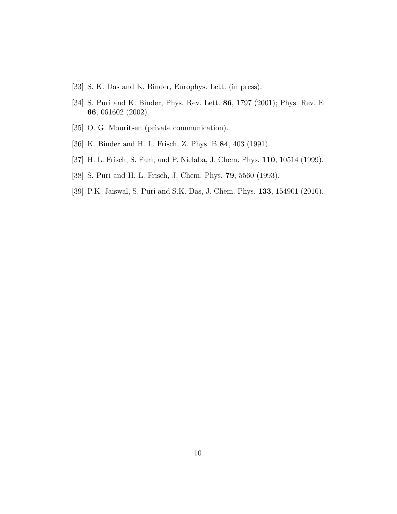- [33] S. K. Das and K. Binder, Europhys. Lett. (in press).
- [34] S. Puri and K. Binder, Phys. Rev. Lett. 86, 1797 (2001); Phys. Rev. E 66, 061602 (2002).
- [35] O. G. Mouritsen (private communication).
- [36] K. Binder and H. L. Frisch, Z. Phys. B 84, 403 (1991).
- [37] H. L. Frisch, S. Puri, and P. Nielaba, J. Chem. Phys. 110, 10514 (1999).
- [38] S. Puri and H. L. Frisch, J. Chem. Phys. 79, 5560 (1993).
- [39] P.K. Jaiswal, S. Puri and S.K. Das, J. Chem. Phys. 133, 154901 (2010).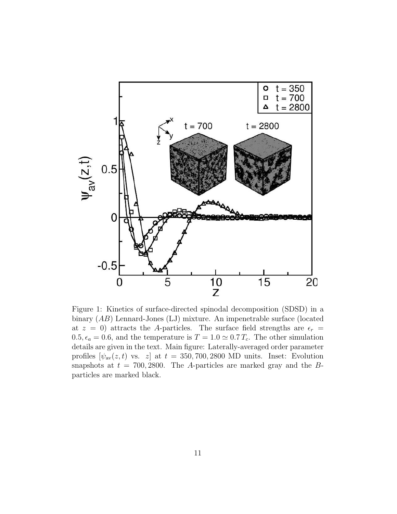

Figure 1: Kinetics of surface-directed spinodal decomposition (SDSD) in a binary (AB) Lennard-Jones (LJ) mixture. An impenetrable surface (located at  $z = 0$ ) attracts the A-particles. The surface field strengths are  $\epsilon_r =$  $0.5, \epsilon_a = 0.6$ , and the temperature is  $T = 1.0 \approx 0.7 T_c$ . The other simulation details are given in the text. Main figure: Laterally-averaged order parameter profiles  $[\psi_{av}(z, t)$  vs. z] at  $t = 350, 700, 2800$  MD units. Inset: Evolution snapshots at  $t = 700, 2800$ . The A-particles are marked gray and the Bparticles are marked black.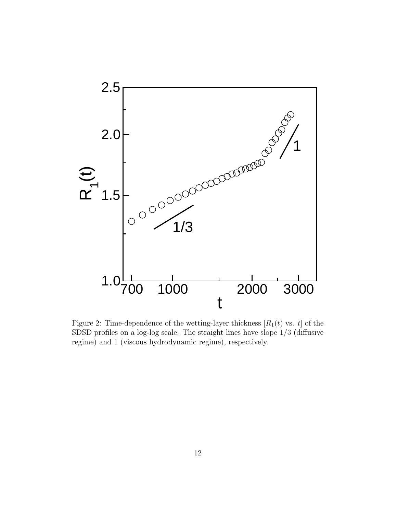

Figure 2: Time-dependence of the wetting-layer thickness  $[R_1(t)$  vs. t] of the SDSD profiles on a log-log scale. The straight lines have slope 1/3 (diffusive regime) and 1 (viscous hydrodynamic regime), respectively.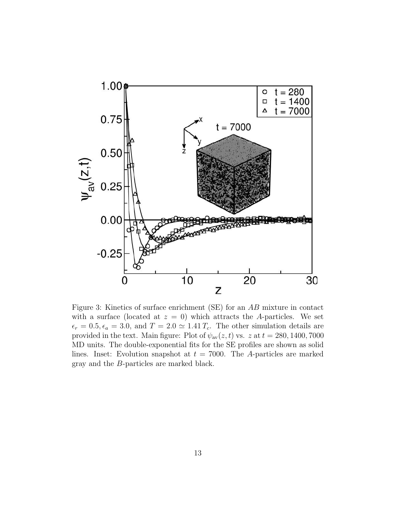

Figure 3: Kinetics of surface enrichment (SE) for an AB mixture in contact with a surface (located at  $z = 0$ ) which attracts the A-particles. We set  $\epsilon_r = 0.5, \epsilon_a = 3.0$ , and  $T = 2.0 \simeq 1.41 T_c$ . The other simulation details are provided in the text. Main figure: Plot of  $\psi_{av}(z, t)$  vs.  $z$  at  $t = 280, 1400, 7000$ MD units. The double-exponential fits for the SE profiles are shown as solid lines. Inset: Evolution snapshot at  $t = 7000$ . The A-particles are marked gray and the B-particles are marked black.